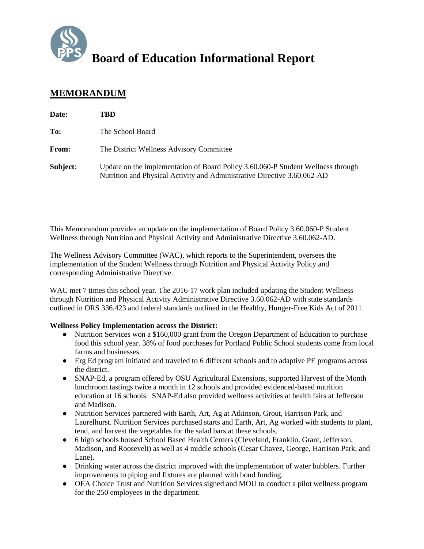

# **Board of Education Informational Report**

## **MEMORANDUM**

| Date:    | TBD                                                                                                                                                          |
|----------|--------------------------------------------------------------------------------------------------------------------------------------------------------------|
| To:      | The School Board                                                                                                                                             |
| From:    | The District Wellness Advisory Committee                                                                                                                     |
| Subject: | Update on the implementation of Board Policy 3.60.060-P Student Wellness through<br>Nutrition and Physical Activity and Administrative Directive 3.60.062-AD |

This Memorandum provides an update on the implementation of Board Policy 3.60.060-P Student Wellness through Nutrition and Physical Activity and Administrative Directive 3.60.062-AD.

The Wellness Advisory Committee (WAC), which reports to the Superintendent, oversees the implementation of the Student Wellness through Nutrition and Physical Activity Policy and corresponding Administrative Directive.

WAC met 7 times this school year. The 2016-17 work plan included updating the Student Wellness through Nutrition and Physical Activity Administrative Directive 3.60.062-AD with state standards outlined in ORS 336.423 and federal standards outlined in the Healthy, Hunger-Free Kids Act of 2011.

### **Wellness Policy Implementation across the District:**

- Nutrition Services won a \$160,000 grant from the Oregon Department of Education to purchase food this school year. 38% of food purchases for Portland Public School students come from local farms and businesses.
- Erg Ed program initiated and traveled to 6 different schools and to adaptive PE programs across the district.
- SNAP-Ed, a program offered by OSU Agricultural Extensions, supported Harvest of the Month lunchroom tastings twice a month in 12 schools and provided evidenced-based nutrition education at 16 schools. SNAP-Ed also provided wellness activities at health fairs at Jefferson and Madison.
- Nutrition Services partnered with Earth, Art, Ag at Atkinson, Grout, Harrison Park, and Laurelhurst. Nutrition Services purchased starts and Earth, Art, Ag worked with students to plant, tend, and harvest the vegetables for the salad bars at these schools.
- 6 high schools housed School Based Health Centers (Cleveland, Franklin, Grant, Jefferson, Madison, and Roosevelt) as well as 4 middle schools (Cesar Chavez, George, Harrison Park, and Lane).
- Drinking water across the district improved with the implementation of water bubblers. Further improvements to piping and fixtures are planned with bond funding.
- OEA Choice Trust and Nutrition Services signed and MOU to conduct a pilot wellness program for the 250 employees in the department.